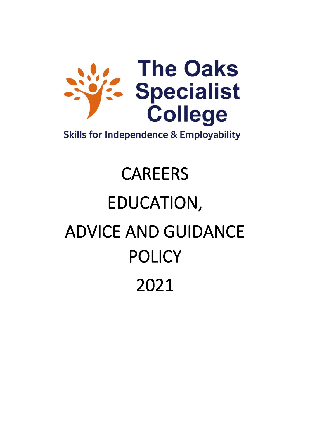

**Skills for Independence & Employability** 

# CAREERS EDUCATION, ADVICE AND GUIDANCE POLICY 2021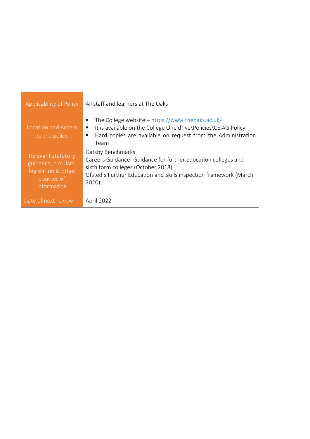| Applicability of Policy                                                                        | All staff and learners at The Oaks                                                                                                                                                                             |
|------------------------------------------------------------------------------------------------|----------------------------------------------------------------------------------------------------------------------------------------------------------------------------------------------------------------|
| <b>Location and Access</b><br>to the policy                                                    | The College website – https://www.theoaks.ac.uk/<br>٠<br>It is available on the College One drive\Policies\CEIAG Policy<br>п<br>Hard copies are available on request from the Administration<br>п<br>Team      |
| Relevant statutory<br>guidance, circulars,<br>legislation & other<br>sources of<br>information | <b>Gatsby Benchmarks</b><br>Careers Guidance - Guidance for further education colleges and<br>sixth form colleges (October 2018)<br>Ofsted's Further Education and Skills inspection framework (March<br>2020) |
| Date of next review                                                                            | April 2022                                                                                                                                                                                                     |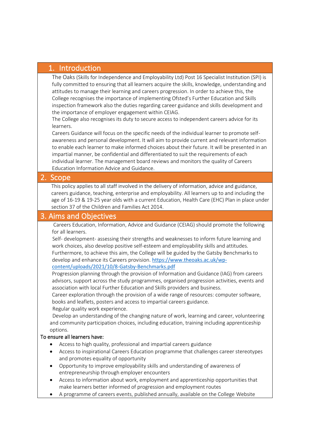# 1. Introduction

The Oaks (Skills for Independence and Employability Ltd) Post 16 Specialist Institution (SPI) is fully committed to ensuring that all learners acquire the skills, knowledge, understanding and attitudes to manage their learning and careers progression. In order to achieve this, the College recognises the importance of implementing Ofsted's Further Education and Skills inspection framework also the duties regarding career guidance and skills development and the importance of employer engagement within CEIAG.

The College also recognises its duty to secure access to independent careers advice for its learners.

Careers Guidance will focus on the specific needs of the individual learner to promote selfawareness and personal development. It will aim to provide current and relevant information to enable each learner to make informed choices about their future. It will be presented in an impartial manner, be confidential and differentiated to suit the requirements of each individual learner. The management board reviews and monitors the quality of Careers Education Information Advice and Guidance.

# 2. Scope

This policy applies to all staff involved in the delivery of information, advice and guidance, careers guidance, teaching, enterprise and employability. All learners up to and including the age of 16-19 & 19-25 year olds with a current Education, Health Care (EHC) Plan in place under section 37 of the Children and Families Act 2014.

# 3. Aims and Objectives

Careers Education, Information, Advice and Guidance (CEIAG) should promote the following for all learners.

 Self- development- assessing their strengths and weaknesses to inform future learning and work choices, also develop positive self-esteem and employability skills and attitudes. Furthermore, to achieve this aim, the College will be guided by the Gatsby Benchmarks to develop and enhance its Careers provision. [https://www.theoaks.ac.uk/wp-](https://www.theoaks.ac.uk/wp-content/uploads/2021/10/8-Gatsby-Benchmarks.pdf)

#### [content/uploads/2021/10/8-Gatsby-Benchmarks.pdf](https://www.theoaks.ac.uk/wp-content/uploads/2021/10/8-Gatsby-Benchmarks.pdf)

Progression planning through the provision of Information and Guidance (IAG) from careers advisors, support across the study programmes, organised progression activities, events and association with local Further Education and Skills providers and business.

Career exploration through the provision of a wide range of resources: computer software, books and leaflets, posters and access to impartial careers guidance.

Regular quality work experience.

Develop an understanding of the changing nature of work, learning and career, volunteering and community participation choices, including education, training including apprenticeship options.

#### To ensure all learners have:

- Access to high quality, professional and impartial careers guidance
- Access to inspirational Careers Education programme that challenges career stereotypes and promotes equality of opportunity
- Opportunity to improve employability skills and understanding of awareness of entrepreneurship through employer encounters
- Access to information about work, employment and apprenticeship opportunities that make learners better informed of progression and employment routes
- A programme of careers events, published annually, available on the College Website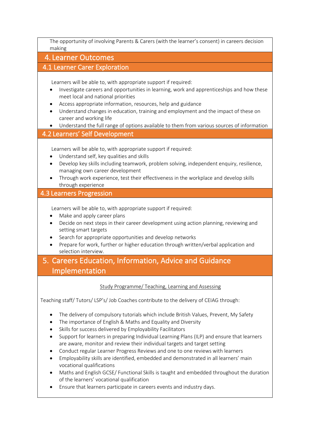The opportunity of involving Parents & Carers (with the learner's consent) in careers decision making

### 4. Learner Outcomes

#### 4.1 Learner Carer Exploration

Learners will be able to, with appropriate support if required:

- Investigate careers and opportunities in learning, work and apprenticeships and how these meet local and national priorities
- Access appropriate information, resources, help and guidance
- Understand changes in education, training and employment and the impact of these on career and working life
- Understand the full range of options available to them from various sources of information

# 4.2 Learners' Self Development

Learners will be able to, with appropriate support if required:

- Understand self, key qualities and skills
- Develop key skills including teamwork, problem solving, independent enquiry, resilience, managing own career development
- Through work experience, test their effectiveness in the workplace and develop skills through experience

#### 4.3 Learners Progression

Learners will be able to, with appropriate support if required:

- Make and apply career plans
- Decide on next steps in their career development using action planning, reviewing and setting smart targets
- Search for appropriate opportunities and develop networks
- Prepare for work, further or higher education through written/verbal application and selection interview.
- 5. Careers Education, Information, Advice and Guidance Implementation

#### Study Programme/ Teaching, Learning and Assessing

Teaching staff/ Tutors/ LSP's/ Job Coaches contribute to the delivery of CEIAG through:

- The delivery of compulsory tutorials which include British Values, Prevent, My Safety
- The importance of English & Maths and Equality and Diversity
- Skills for success delivered by Employability Facilitators
- Support for learners in preparing Individual Learning Plans (ILP) and ensure that learners are aware, monitor and review their individual targets and target setting
- Conduct regular Learner Progress Reviews and one to one reviews with learners
- Employability skills are identified, embedded and demonstrated in all learners' main vocational qualifications
- Maths and English GCSE/ Functional Skills is taught and embedded throughout the duration of the learners' vocational qualification
- Ensure that learners participate in careers events and industry days.